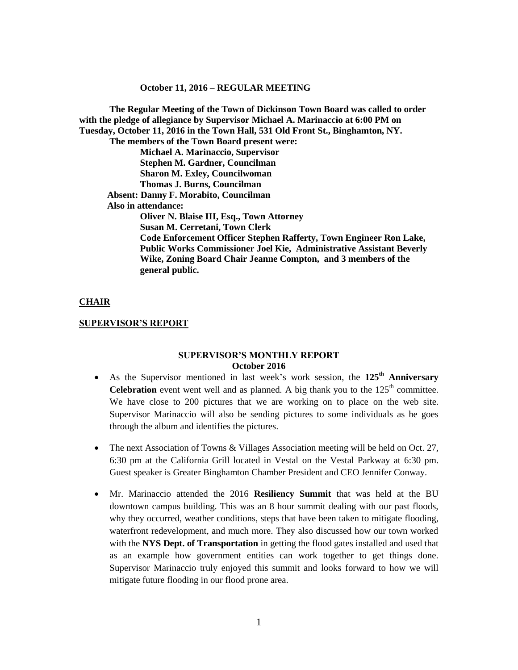**The Regular Meeting of the Town of Dickinson Town Board was called to order with the pledge of allegiance by Supervisor Michael A. Marinaccio at 6:00 PM on Tuesday, October 11, 2016 in the Town Hall, 531 Old Front St., Binghamton, NY. The members of the Town Board present were: Michael A. Marinaccio, Supervisor Stephen M. Gardner, Councilman Sharon M. Exley, Councilwoman Thomas J. Burns, Councilman Absent: Danny F. Morabito, Councilman Also in attendance: Oliver N. Blaise III, Esq., Town Attorney Susan M. Cerretani, Town Clerk Code Enforcement Officer Stephen Rafferty, Town Engineer Ron Lake, Public Works Commissioner Joel Kie, Administrative Assistant Beverly Wike, Zoning Board Chair Jeanne Compton, and 3 members of the general public.**

#### **CHAIR**

#### **SUPERVISOR'S REPORT**

#### **SUPERVISOR'S MONTHLY REPORT October 2016**

- As the Supervisor mentioned in last week's work session, the **125th Anniversary Celebration** event went well and as planned. A big thank you to the  $125<sup>th</sup>$  committee. We have close to 200 pictures that we are working on to place on the web site. Supervisor Marinaccio will also be sending pictures to some individuals as he goes through the album and identifies the pictures.
- The next Association of Towns & Villages Association meeting will be held on Oct. 27, 6:30 pm at the California Grill located in Vestal on the Vestal Parkway at 6:30 pm. Guest speaker is Greater Binghamton Chamber President and CEO Jennifer Conway.
- Mr. Marinaccio attended the 2016 **Resiliency Summit** that was held at the BU downtown campus building. This was an 8 hour summit dealing with our past floods, why they occurred, weather conditions, steps that have been taken to mitigate flooding, waterfront redevelopment, and much more. They also discussed how our town worked with the **NYS Dept. of Transportation** in getting the flood gates installed and used that as an example how government entities can work together to get things done. Supervisor Marinaccio truly enjoyed this summit and looks forward to how we will mitigate future flooding in our flood prone area.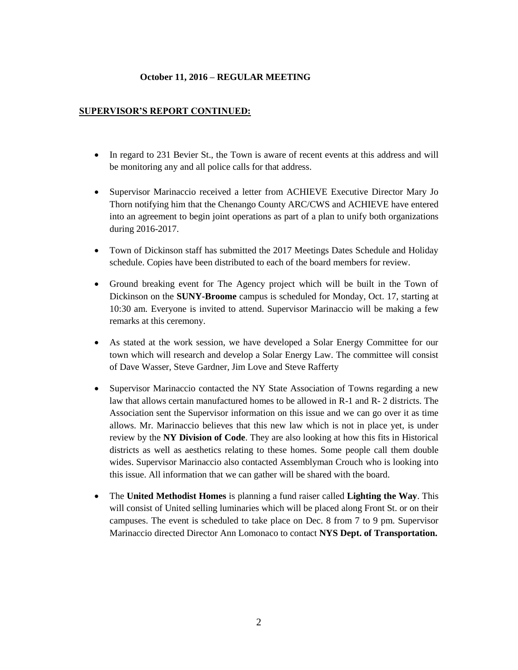## **SUPERVISOR'S REPORT CONTINUED:**

- In regard to 231 Bevier St., the Town is aware of recent events at this address and will be monitoring any and all police calls for that address.
- Supervisor Marinaccio received a letter from ACHIEVE Executive Director Mary Jo Thorn notifying him that the Chenango County ARC/CWS and ACHIEVE have entered into an agreement to begin joint operations as part of a plan to unify both organizations during 2016-2017.
- Town of Dickinson staff has submitted the 2017 Meetings Dates Schedule and Holiday schedule. Copies have been distributed to each of the board members for review.
- Ground breaking event for The Agency project which will be built in the Town of Dickinson on the **SUNY-Broome** campus is scheduled for Monday, Oct. 17, starting at 10:30 am. Everyone is invited to attend. Supervisor Marinaccio will be making a few remarks at this ceremony.
- As stated at the work session, we have developed a Solar Energy Committee for our town which will research and develop a Solar Energy Law. The committee will consist of Dave Wasser, Steve Gardner, Jim Love and Steve Rafferty
- Supervisor Marinaccio contacted the NY State Association of Towns regarding a new law that allows certain manufactured homes to be allowed in R-1 and R- 2 districts. The Association sent the Supervisor information on this issue and we can go over it as time allows. Mr. Marinaccio believes that this new law which is not in place yet, is under review by the **NY Division of Code**. They are also looking at how this fits in Historical districts as well as aesthetics relating to these homes. Some people call them double wides. Supervisor Marinaccio also contacted Assemblyman Crouch who is looking into this issue. All information that we can gather will be shared with the board.
- The **United Methodist Homes** is planning a fund raiser called **Lighting the Way**. This will consist of United selling luminaries which will be placed along Front St. or on their campuses. The event is scheduled to take place on Dec. 8 from 7 to 9 pm. Supervisor Marinaccio directed Director Ann Lomonaco to contact **NYS Dept. of Transportation.**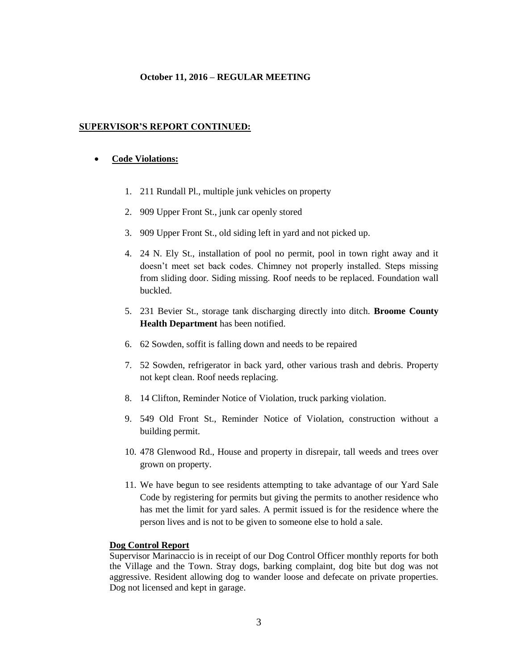#### **SUPERVISOR'S REPORT CONTINUED:**

#### **Code Violations:**

- 1. 211 Rundall Pl., multiple junk vehicles on property
- 2. 909 Upper Front St., junk car openly stored
- 3. 909 Upper Front St., old siding left in yard and not picked up.
- 4. 24 N. Ely St., installation of pool no permit, pool in town right away and it doesn't meet set back codes. Chimney not properly installed. Steps missing from sliding door. Siding missing. Roof needs to be replaced. Foundation wall buckled.
- 5. 231 Bevier St., storage tank discharging directly into ditch. **Broome County Health Department** has been notified.
- 6. 62 Sowden, soffit is falling down and needs to be repaired
- 7. 52 Sowden, refrigerator in back yard, other various trash and debris. Property not kept clean. Roof needs replacing.
- 8. 14 Clifton, Reminder Notice of Violation, truck parking violation.
- 9. 549 Old Front St., Reminder Notice of Violation, construction without a building permit.
- 10. 478 Glenwood Rd., House and property in disrepair, tall weeds and trees over grown on property.
- 11. We have begun to see residents attempting to take advantage of our Yard Sale Code by registering for permits but giving the permits to another residence who has met the limit for yard sales. A permit issued is for the residence where the person lives and is not to be given to someone else to hold a sale.

#### **Dog Control Report**

Supervisor Marinaccio is in receipt of our Dog Control Officer monthly reports for both the Village and the Town. Stray dogs, barking complaint, dog bite but dog was not aggressive. Resident allowing dog to wander loose and defecate on private properties. Dog not licensed and kept in garage.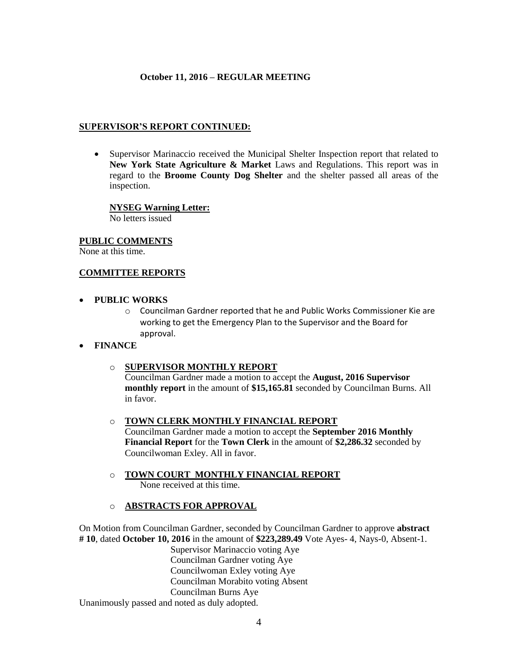#### **SUPERVISOR'S REPORT CONTINUED:**

 Supervisor Marinaccio received the Municipal Shelter Inspection report that related to **New York State Agriculture & Market** Laws and Regulations. This report was in regard to the **Broome County Dog Shelter** and the shelter passed all areas of the inspection.

## **NYSEG Warning Letter:**

No letters issued

#### **PUBLIC COMMENTS**

None at this time.

#### **COMMITTEE REPORTS**

#### **PUBLIC WORKS**

o Councilman Gardner reported that he and Public Works Commissioner Kie are working to get the Emergency Plan to the Supervisor and the Board for approval.

## **FINANCE**

## o **SUPERVISOR MONTHLY REPORT**

Councilman Gardner made a motion to accept the **August, 2016 Supervisor monthly report** in the amount of **\$15,165.81** seconded by Councilman Burns. All in favor.

#### o **TOWN CLERK MONTHLY FINANCIAL REPORT**

Councilman Gardner made a motion to accept the **September 2016 Monthly Financial Report** for the **Town Clerk** in the amount of **\$2,286.32** seconded by Councilwoman Exley. All in favor.

o **TOWN COURT MONTHLY FINANCIAL REPORT** None received at this time.

## o **ABSTRACTS FOR APPROVAL**

On Motion from Councilman Gardner, seconded by Councilman Gardner to approve **abstract # 10**, dated **October 10, 2016** in the amount of **\$223,289.49** Vote Ayes- 4, Nays-0, Absent-1.

> Supervisor Marinaccio voting Aye Councilman Gardner voting Aye Councilwoman Exley voting Aye Councilman Morabito voting Absent Councilman Burns Aye

Unanimously passed and noted as duly adopted.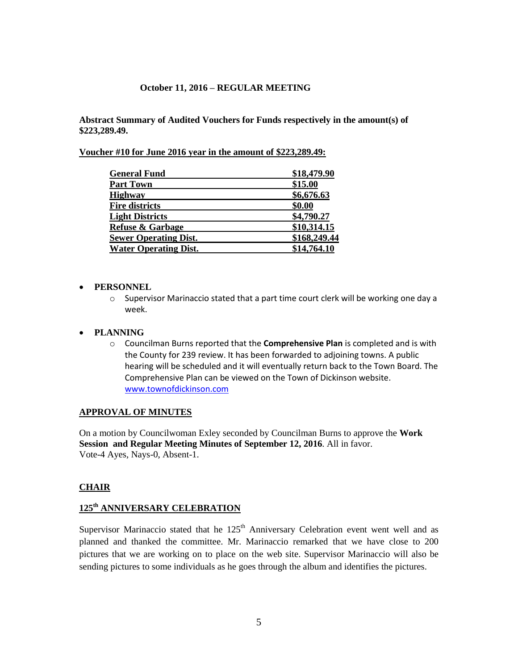**Abstract Summary of Audited Vouchers for Funds respectively in the amount(s) of \$223,289.49.**

**Voucher #10 for June 2016 year in the amount of \$223,289.49:** 

| <b>General Fund</b>          | \$18,479.90  |
|------------------------------|--------------|
| <b>Part Town</b>             | \$15.00      |
| <b>Highway</b>               | \$6,676.63   |
| <b>Fire districts</b>        | \$0.00       |
| <b>Light Districts</b>       | \$4,790.27   |
| <b>Refuse &amp; Garbage</b>  | \$10,314.15  |
| <b>Sewer Operating Dist.</b> | \$168,249.44 |
| <b>Water Operating Dist.</b> | \$14,764.10  |

#### **PERSONNEL**

 $\circ$  Supervisor Marinaccio stated that a part time court clerk will be working one day a week.

#### **PLANNING**

o Councilman Burns reported that the **Comprehensive Plan** is completed and is with the County for 239 review. It has been forwarded to adjoining towns. A public hearing will be scheduled and it will eventually return back to the Town Board. The Comprehensive Plan can be viewed on the Town of Dickinson website. [www.townofdickinson.com](http://www.townofdickinson.com/)

#### **APPROVAL OF MINUTES**

On a motion by Councilwoman Exley seconded by Councilman Burns to approve the **Work Session and Regular Meeting Minutes of September 12, 2016**. All in favor. Vote-4 Ayes, Nays-0, Absent-1.

#### **CHAIR**

# **125th ANNIVERSARY CELEBRATION**

Supervisor Marinaccio stated that he  $125<sup>th</sup>$  Anniversary Celebration event went well and as planned and thanked the committee. Mr. Marinaccio remarked that we have close to 200 pictures that we are working on to place on the web site. Supervisor Marinaccio will also be sending pictures to some individuals as he goes through the album and identifies the pictures.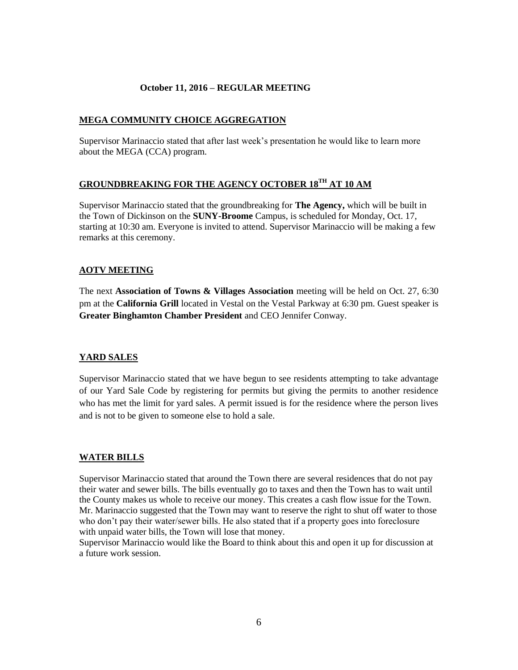## **MEGA COMMUNITY CHOICE AGGREGATION**

Supervisor Marinaccio stated that after last week's presentation he would like to learn more about the MEGA (CCA) program.

# **GROUNDBREAKING FOR THE AGENCY OCTOBER 18TH AT 10 AM**

Supervisor Marinaccio stated that the groundbreaking for **The Agency,** which will be built in the Town of Dickinson on the **SUNY-Broome** Campus, is scheduled for Monday, Oct. 17, starting at 10:30 am. Everyone is invited to attend. Supervisor Marinaccio will be making a few remarks at this ceremony.

# **AOTV MEETING**

The next **Association of Towns & Villages Association** meeting will be held on Oct. 27, 6:30 pm at the **California Grill** located in Vestal on the Vestal Parkway at 6:30 pm. Guest speaker is **Greater Binghamton Chamber President** and CEO Jennifer Conway.

## **YARD SALES**

Supervisor Marinaccio stated that we have begun to see residents attempting to take advantage of our Yard Sale Code by registering for permits but giving the permits to another residence who has met the limit for yard sales. A permit issued is for the residence where the person lives and is not to be given to someone else to hold a sale.

## **WATER BILLS**

Supervisor Marinaccio stated that around the Town there are several residences that do not pay their water and sewer bills. The bills eventually go to taxes and then the Town has to wait until the County makes us whole to receive our money. This creates a cash flow issue for the Town. Mr. Marinaccio suggested that the Town may want to reserve the right to shut off water to those who don't pay their water/sewer bills. He also stated that if a property goes into foreclosure with unpaid water bills, the Town will lose that money.

Supervisor Marinaccio would like the Board to think about this and open it up for discussion at a future work session.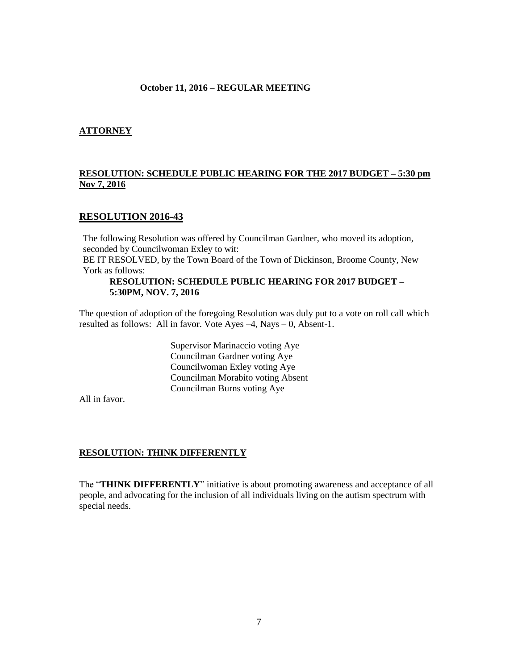## **ATTORNEY**

# **RESOLUTION: SCHEDULE PUBLIC HEARING FOR THE 2017 BUDGET – 5:30 pm Nov 7, 2016**

# **RESOLUTION 2016-43**

The following Resolution was offered by Councilman Gardner, who moved its adoption, seconded by Councilwoman Exley to wit:

BE IT RESOLVED, by the Town Board of the Town of Dickinson, Broome County, New York as follows:

#### **RESOLUTION: SCHEDULE PUBLIC HEARING FOR 2017 BUDGET – 5:30PM, NOV. 7, 2016**

The question of adoption of the foregoing Resolution was duly put to a vote on roll call which resulted as follows: All in favor. Vote Ayes –4, Nays – 0, Absent-1.

> Supervisor Marinaccio voting Aye Councilman Gardner voting Aye Councilwoman Exley voting Aye Councilman Morabito voting Absent Councilman Burns voting Aye

All in favor.

#### **RESOLUTION: THINK DIFFERENTLY**

The "**THINK DIFFERENTLY**" initiative is about promoting awareness and acceptance of all people, and advocating for the inclusion of all individuals living on the autism spectrum with special needs.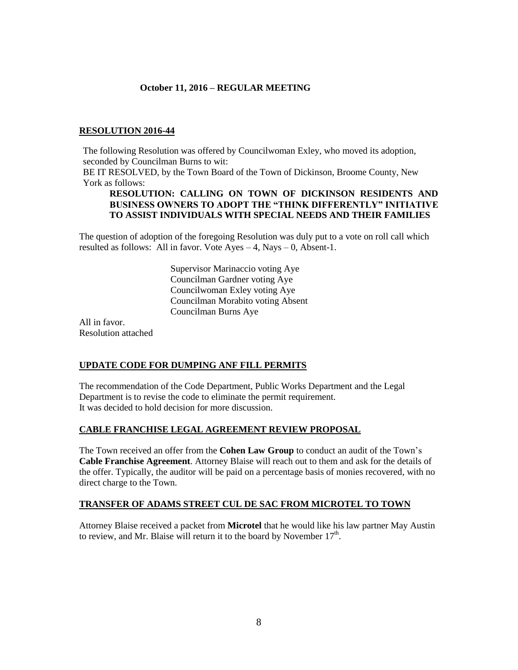## **RESOLUTION 2016-44**

The following Resolution was offered by Councilwoman Exley, who moved its adoption, seconded by Councilman Burns to wit:

BE IT RESOLVED, by the Town Board of the Town of Dickinson, Broome County, New York as follows:

#### **RESOLUTION: CALLING ON TOWN OF DICKINSON RESIDENTS AND BUSINESS OWNERS TO ADOPT THE "THINK DIFFERENTLY" INITIATIVE TO ASSIST INDIVIDUALS WITH SPECIAL NEEDS AND THEIR FAMILIES**

The question of adoption of the foregoing Resolution was duly put to a vote on roll call which resulted as follows: All in favor. Vote  $Ayes - 4$ , Nays  $- 0$ , Absent-1.

> Supervisor Marinaccio voting Aye Councilman Gardner voting Aye Councilwoman Exley voting Aye Councilman Morabito voting Absent Councilman Burns Aye

All in favor. Resolution attached

## **UPDATE CODE FOR DUMPING ANF FILL PERMITS**

The recommendation of the Code Department, Public Works Department and the Legal Department is to revise the code to eliminate the permit requirement. It was decided to hold decision for more discussion.

## **CABLE FRANCHISE LEGAL AGREEMENT REVIEW PROPOSAL**

The Town received an offer from the **Cohen Law Group** to conduct an audit of the Town's **Cable Franchise Agreement**. Attorney Blaise will reach out to them and ask for the details of the offer. Typically, the auditor will be paid on a percentage basis of monies recovered, with no direct charge to the Town.

## **TRANSFER OF ADAMS STREET CUL DE SAC FROM MICROTEL TO TOWN**

Attorney Blaise received a packet from **Microtel** that he would like his law partner May Austin to review, and Mr. Blaise will return it to the board by November  $17<sup>th</sup>$ .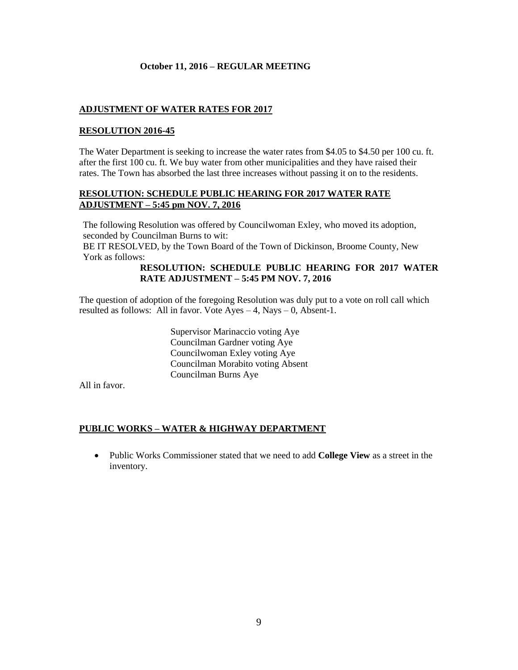# **ADJUSTMENT OF WATER RATES FOR 2017**

## **RESOLUTION 2016-45**

The Water Department is seeking to increase the water rates from \$4.05 to \$4.50 per 100 cu. ft. after the first 100 cu. ft. We buy water from other municipalities and they have raised their rates. The Town has absorbed the last three increases without passing it on to the residents.

## **RESOLUTION: SCHEDULE PUBLIC HEARING FOR 2017 WATER RATE ADJUSTMENT – 5:45 pm NOV. 7, 2016**

The following Resolution was offered by Councilwoman Exley, who moved its adoption, seconded by Councilman Burns to wit:

BE IT RESOLVED, by the Town Board of the Town of Dickinson, Broome County, New York as follows:

## **RESOLUTION: SCHEDULE PUBLIC HEARING FOR 2017 WATER RATE ADJUSTMENT – 5:45 PM NOV. 7, 2016**

The question of adoption of the foregoing Resolution was duly put to a vote on roll call which resulted as follows: All in favor. Vote  $Ayes - 4$ , Nays – 0, Absent-1.

> Supervisor Marinaccio voting Aye Councilman Gardner voting Aye Councilwoman Exley voting Aye Councilman Morabito voting Absent Councilman Burns Aye

All in favor.

# **PUBLIC WORKS – WATER & HIGHWAY DEPARTMENT**

 Public Works Commissioner stated that we need to add **College View** as a street in the inventory.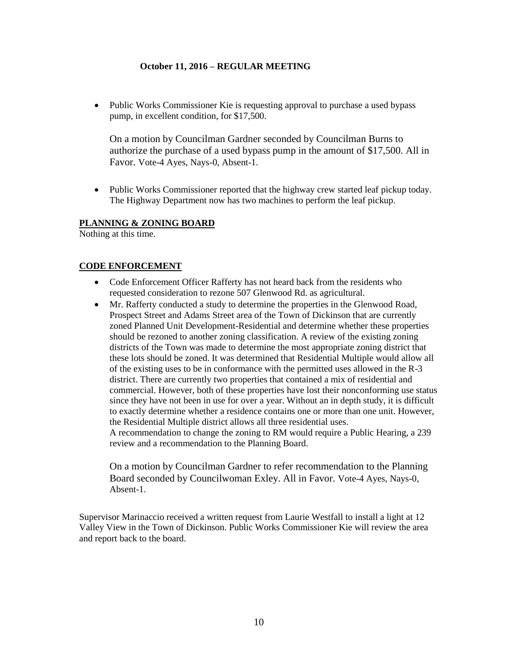• Public Works Commissioner Kie is requesting approval to purchase a used bypass pump, in excellent condition, for \$17,500.

On a motion by Councilman Gardner seconded by Councilman Burns to authorize the purchase of a used bypass pump in the amount of \$17,500. All in Favor. Vote-4 Ayes, Nays-0, Absent-1.

• Public Works Commissioner reported that the highway crew started leaf pickup today. The Highway Department now has two machines to perform the leaf pickup.

## **PLANNING & ZONING BOARD**

Nothing at this time.

## **CODE ENFORCEMENT**

- Code Enforcement Officer Rafferty has not heard back from the residents who requested consideration to rezone 507 Glenwood Rd. as agricultural.
- Mr. Rafferty conducted a study to determine the properties in the Glenwood Road, Prospect Street and Adams Street area of the Town of Dickinson that are currently zoned Planned Unit Development-Residential and determine whether these properties should be rezoned to another zoning classification. A review of the existing zoning districts of the Town was made to determine the most appropriate zoning district that these lots should be zoned. It was determined that Residential Multiple would allow all of the existing uses to be in conformance with the permitted uses allowed in the R-3 district. There are currently two properties that contained a mix of residential and commercial. However, both of these properties have lost their nonconforming use status since they have not been in use for over a year. Without an in depth study, it is difficult to exactly determine whether a residence contains one or more than one unit. However, the Residential Multiple district allows all three residential uses. A recommendation to change the zoning to RM would require a Public Hearing, a 239 review and a recommendation to the Planning Board.

On a motion by Councilman Gardner to refer recommendation to the Planning Board seconded by Councilwoman Exley. All in Favor. Vote-4 Ayes, Nays-0, Absent-1.

Supervisor Marinaccio received a written request from Laurie Westfall to install a light at 12 Valley View in the Town of Dickinson. Public Works Commissioner Kie will review the area and report back to the board.